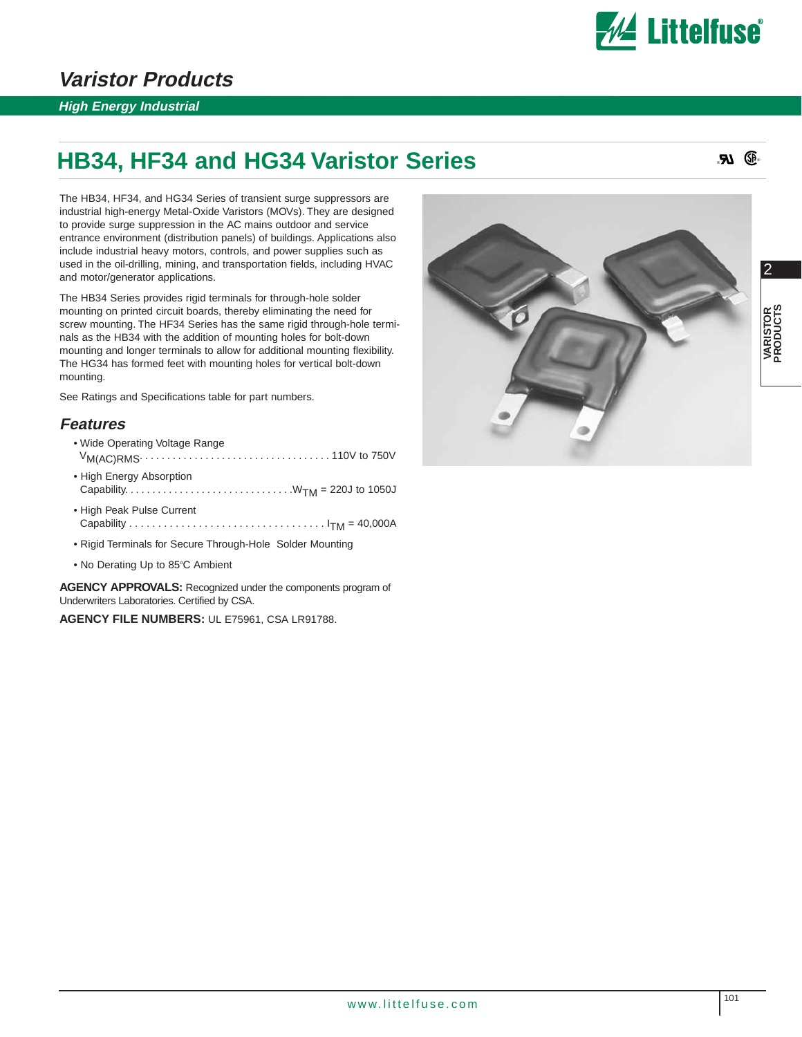

### **Varistor Products**

#### **High Energy Industrial**

## **HB34, HF34 and HG34 Varistor Series**

® ®

The HB34, HF34, and HG34 Series of transient surge suppressors are industrial high-energy Metal-Oxide Varistors (MOVs). They are designed to provide surge suppression in the AC mains outdoor and service entrance environment (distribution panels) of buildings. Applications also include industrial heavy motors, controls, and power supplies such as used in the oil-drilling, mining, and transportation fields, including HVAC and motor/generator applications.

The HB34 Series provides rigid terminals for through-hole solder mounting on printed circuit boards, thereby eliminating the need for screw mounting. The HF34 Series has the same rigid through-hole terminals as the HB34 with the addition of mounting holes for bolt-down mounting and longer terminals to allow for additional mounting flexibility. The HG34 has formed feet with mounting holes for vertical bolt-down mounting.

See Ratings and Specifications table for part numbers.

#### **Features**

- Wide Operating Voltage Range VM(AC)RMS................................... 110V to 750V
- High Energy Absorption Capability. . . . . . . . . . . . . . . . . . . . . . . . . . . . . . .WTM = 220J to 1050J
- High Peak Pulse Current Capability . . . . . . . . . . . . . . . . . . . . . . . . . . . . . . . . . . ITM = 40,000A
- Rigid Terminals for Secure Through-Hole Solder Mounting
- No Derating Up to 85°C Ambient

**AGENCY APPROVALS:** Recognized under the components program of Underwriters Laboratories. Certified by CSA.

**AGENCY FILE NUMBERS:** UL E75961, CSA LR91788.

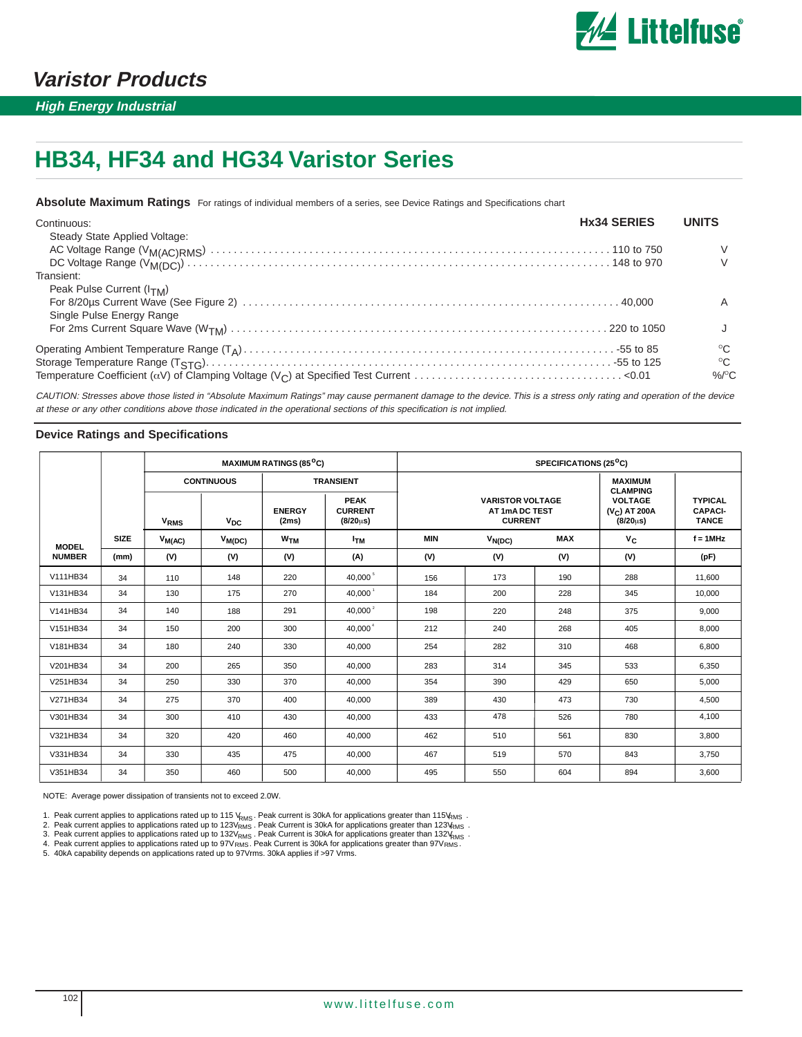

**High Energy Industrial**

# **HB34, HF34 and HG34 Varistor Series**

**Absolute Maximum Ratings** For ratings of individual members of a series, see Device Ratings and Specifications chart

| Continuous:                   | <b>Hx34 SERIES</b> | <b>UNITS</b>   |
|-------------------------------|--------------------|----------------|
| Steady State Applied Voltage: |                    |                |
|                               |                    |                |
|                               |                    |                |
| Transient:                    |                    |                |
| Peak Pulse Current $(ITM)$    |                    |                |
|                               |                    |                |
| Single Pulse Energy Range     |                    |                |
|                               |                    |                |
|                               |                    | $^{\circ}C$    |
|                               |                    | $^{\circ}$ C   |
|                               |                    | %/ $\rm ^{O}C$ |

CAUTION: Stresses above those listed in "Absolute Maximum Ratings" may cause permanent damage to the device. This is a stress only rating and operation of the device at these or any other conditions above those indicated in the operational sections of this specification is not implied.

#### **Device Ratings and Specifications**

|               |             |                        |                   | <b>MAXIMUM RATINGS (85°C)</b> |                                                   |            |                                                             | SPECIFICATIONS (25 <sup>o</sup> C) |                                                                                    |                                                  |
|---------------|-------------|------------------------|-------------------|-------------------------------|---------------------------------------------------|------------|-------------------------------------------------------------|------------------------------------|------------------------------------------------------------------------------------|--------------------------------------------------|
|               |             |                        | <b>CONTINUOUS</b> |                               | <b>TRANSIENT</b>                                  |            |                                                             |                                    |                                                                                    |                                                  |
|               |             | <b>V<sub>RMS</sub></b> | $V_{DC}$          | <b>ENERGY</b><br>(2ms)        | <b>PEAK</b><br><b>CURRENT</b><br>$(8/20 \,\mu s)$ |            | <b>VARISTOR VOLTAGE</b><br>AT 1mA DC TEST<br><b>CURRENT</b> |                                    | <b>CLAMPING</b><br><b>VOLTAGE</b><br>(V <sub>C</sub> ) AT 200A<br>$(8/20 \,\mu s)$ | <b>TYPICAL</b><br><b>CAPACI-</b><br><b>TANCE</b> |
| <b>MODEL</b>  | <b>SIZE</b> | $V_{M(AC)}$            | $V_{M(DC)}$       | <b>W<sub>TM</sub></b>         | Ітм                                               | <b>MIN</b> | $V_{N(DC)}$                                                 | <b>MAX</b>                         | $V_C$                                                                              | $f = 1$ MHz                                      |
| <b>NUMBER</b> | (mm)        | (V)                    | (V)               | (V)                           | (A)                                               | (V)        | (V)                                                         | (V)                                | (V)                                                                                | (pF)                                             |
| V111HB34      | 34          | 110                    | 148               | 220                           | 40,000 <sup>5</sup>                               | 156        | 173                                                         | 190                                | 288                                                                                | 11,600                                           |
| V131HB34      | 34          | 130                    | 175               | 270                           | $40,000^{\degree}$                                | 184        | 200                                                         | 228                                | 345                                                                                | 10,000                                           |
| V141HB34      | 34          | 140                    | 188               | 291                           | 40,000 $^{2}$                                     | 198        | 220                                                         | 248                                | 375                                                                                | 9,000                                            |
| V151HB34      | 34          | 150                    | 200               | 300                           | 40,000 <sup>4</sup>                               | 212        | 240                                                         | 268                                | 405                                                                                | 8,000                                            |
| V181HB34      | 34          | 180                    | 240               | 330                           | 40,000                                            | 254        | 282                                                         | 310                                | 468                                                                                | 6,800                                            |
| V201HB34      | 34          | 200                    | 265               | 350                           | 40,000                                            | 283        | 314                                                         | 345                                | 533                                                                                | 6,350                                            |
| V251HB34      | 34          | 250                    | 330               | 370                           | 40,000                                            | 354        | 390                                                         | 429                                | 650                                                                                | 5,000                                            |
| V271HB34      | 34          | 275                    | 370               | 400                           | 40,000                                            | 389        | 430                                                         | 473                                | 730                                                                                | 4,500                                            |
| V301HB34      | 34          | 300                    | 410               | 430                           | 40,000                                            | 433        | 478                                                         | 526                                | 780                                                                                | 4,100                                            |
| V321HB34      | 34          | 320                    | 420               | 460                           | 40,000                                            | 462        | 510                                                         | 561                                | 830                                                                                | 3,800                                            |
| V331HB34      | 34          | 330                    | 435               | 475                           | 40,000                                            | 467        | 519                                                         | 570                                | 843                                                                                | 3,750                                            |
| V351HB34      | 34          | 350                    | 460               | 500                           | 40.000                                            | 495        | 550                                                         | 604                                | 894                                                                                | 3,600                                            |

NOTE: Average power dissipation of transients not to exceed 2.0W.

1. Peak current applies to applications rated up to 115 V<sub>RMS</sub>. Peak current is 30kA for applications greater than 115V<sub>RMS</sub>.<br>2. Peak current applies to applications rated up to 123V<sub>RMS</sub> . Peak Current is 30kA for applica YRMS<br>V<sub>RMS</sub><br>RMS <sup>d</sup>urms<br>3V<sub>RMS</sub><br>RMS

5. 40kA capability depends on applications rated up to 97Vrms. 30kA applies if >97 Vrms.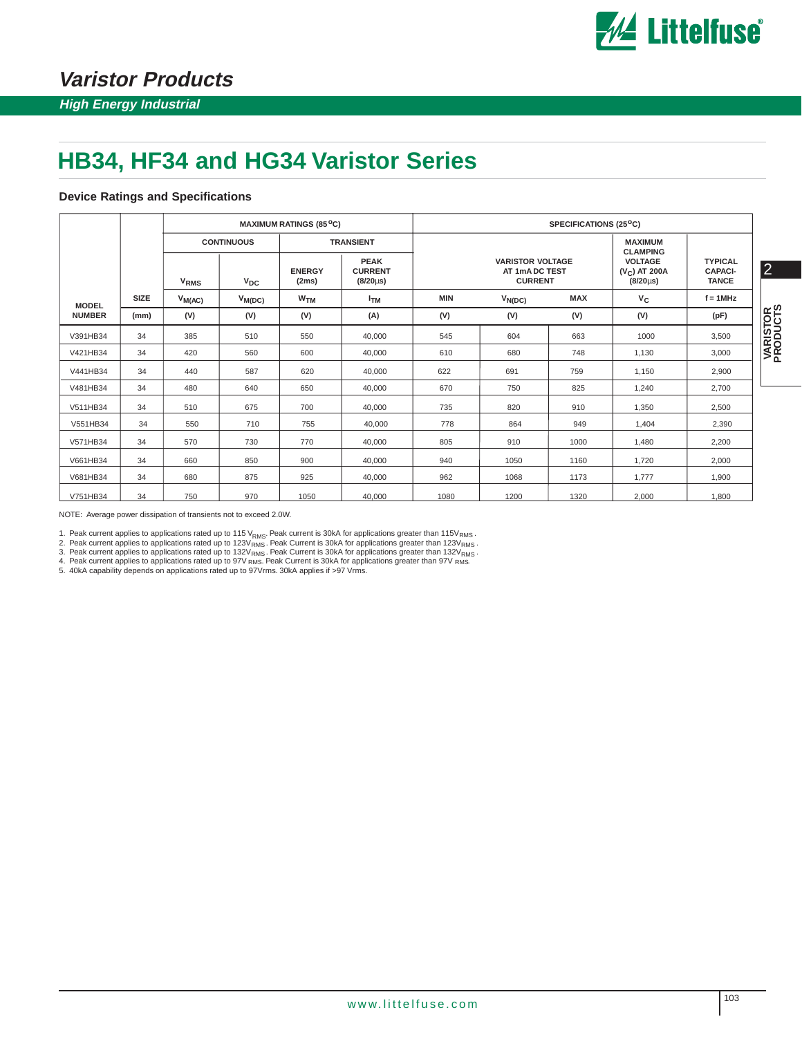

## **Varistor Products**

## **HB34, HF34 and HG34 Varistor Series**

#### **Device Ratings and Specifications**

|               |             | <b>MAXIMUM RATINGS (85°C)</b> |                   |                        |                                                 |            | SPECIFICATIONS (25 <sup>o</sup> C)                          |            |                                   |                                                     |                      |                                                  |                |
|---------------|-------------|-------------------------------|-------------------|------------------------|-------------------------------------------------|------------|-------------------------------------------------------------|------------|-----------------------------------|-----------------------------------------------------|----------------------|--------------------------------------------------|----------------|
|               |             |                               | <b>CONTINUOUS</b> |                        | <b>TRANSIENT</b>                                |            |                                                             |            | <b>MAXIMUM</b><br><b>CLAMPING</b> |                                                     |                      |                                                  |                |
|               |             | <b>V<sub>RMS</sub></b>        | $V_{DC}$          | <b>ENERGY</b><br>(2ms) | <b>PEAK</b><br><b>CURRENT</b><br>$(8/20 \mu s)$ |            | <b>VARISTOR VOLTAGE</b><br>AT 1mA DC TEST<br><b>CURRENT</b> |            |                                   | <b>VOLTAGE</b><br>$(V_C)$ AT 200A<br>$(8/20 \mu s)$ |                      | <b>TYPICAL</b><br><b>CAPACI-</b><br><b>TANCE</b> | $\overline{2}$ |
| <b>MODEL</b>  | <b>SIZE</b> | $V_{M(AC)}$                   | $V_{M(DC)}$       | W <sub>TM</sub>        | <b>I</b> <sub>TM</sub>                          | <b>MIN</b> | $V_{N(DC)}$                                                 | <b>MAX</b> | $V_C$                             | $f = 1$ MHz                                         |                      |                                                  |                |
| <b>NUMBER</b> | (mm)        | (V)                           | (V)               | (V)                    | (A)                                             | (V)        | (V)                                                         | (V)        | (V)                               | (pF)                                                | VARISTOR<br>PRODUCTS |                                                  |                |
| V391HB34      | 34          | 385                           | 510               | 550                    | 40,000                                          | 545        | 604                                                         | 663        | 1000                              | 3,500                                               |                      |                                                  |                |
| V421HB34      | 34          | 420                           | 560               | 600                    | 40,000                                          | 610        | 680                                                         | 748        | 1,130                             | 3,000                                               |                      |                                                  |                |
| V441HB34      | 34          | 440                           | 587               | 620                    | 40,000                                          | 622        | 691                                                         | 759        | 1,150                             | 2,900                                               |                      |                                                  |                |
| V481HB34      | 34          | 480                           | 640               | 650                    | 40,000                                          | 670        | 750                                                         | 825        | 1,240                             | 2,700                                               |                      |                                                  |                |
| V511HB34      | 34          | 510                           | 675               | 700                    | 40,000                                          | 735        | 820                                                         | 910        | 1,350                             | 2,500                                               |                      |                                                  |                |
| V551HB34      | 34          | 550                           | 710               | 755                    | 40,000                                          | 778        | 864                                                         | 949        | 1,404                             | 2,390                                               |                      |                                                  |                |
| V571HB34      | 34          | 570                           | 730               | 770                    | 40,000                                          | 805        | 910                                                         | 1000       | 1,480                             | 2,200                                               |                      |                                                  |                |
| V661HB34      | 34          | 660                           | 850               | 900                    | 40,000                                          | 940        | 1050                                                        | 1160       | 1,720                             | 2,000                                               |                      |                                                  |                |
| V681HB34      | 34          | 680                           | 875               | 925                    | 40.000                                          | 962        | 1068                                                        | 1173       | 1,777                             | 1,900                                               |                      |                                                  |                |
| V751HB34      | 34          | 750                           | 970               | 1050                   | 40,000                                          | 1080       | 1200                                                        | 1320       | 2,000                             | 1,800                                               |                      |                                                  |                |

NOTE: Average power dissipation of transients not to exceed 2.0W.

1. Peak current applies to applications rated up to 115 V<sub>RMS</sub>. Peak current is 30kA for applications greater than 115V<sub>RMS</sub>.<br>2. Peak current applies to applications rated up to 123V<sub>RMS</sub>. Peak Current is 30kA for applica <sup>v</sup>RMS<br>/<sub>RMS</sub><br>/<sub>RMS</sub>. <sup>v</sup>rms<br><sup>}V</sup>rms<br><sup>?V</sup>rms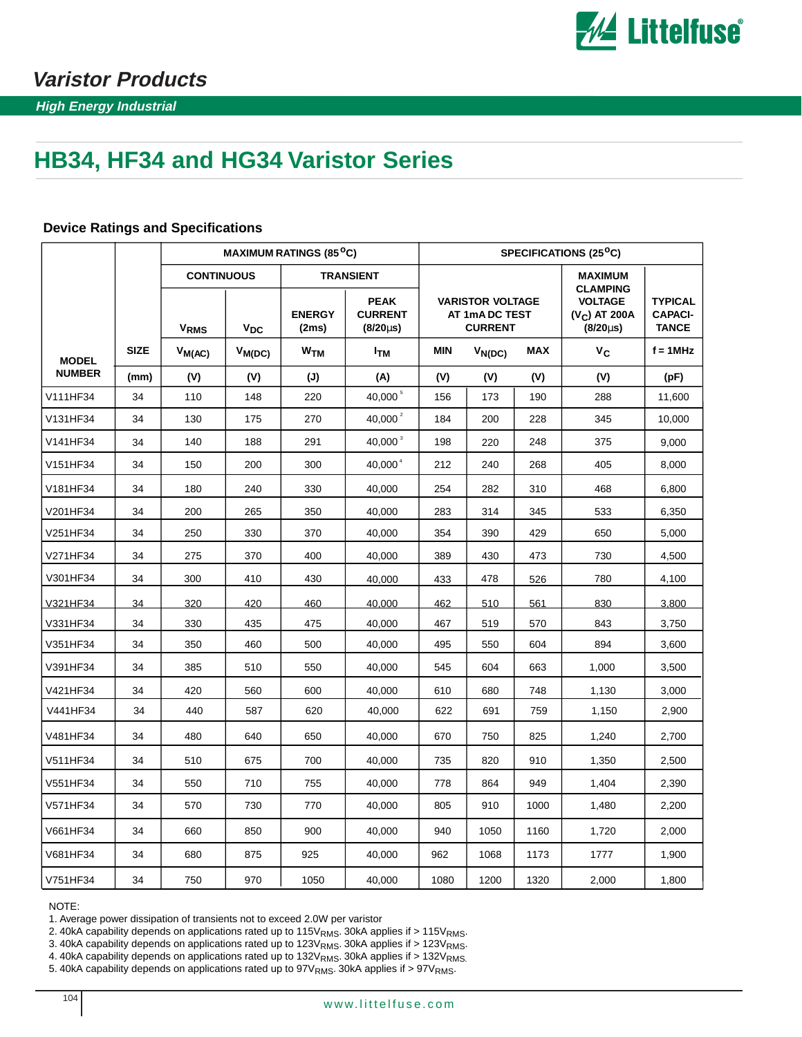

**High Energy Industrial**

# **HB34, HF34 and HG34 Varistor Series**

|               |             | <b>MAXIMUM RATINGS (85<sup>o</sup>C)</b> |                                              |                 |                                                                           | SPECIFICATIONS (25 <sup>o</sup> C) |                                                             |            |                                                                        |                                                  |  |  |
|---------------|-------------|------------------------------------------|----------------------------------------------|-----------------|---------------------------------------------------------------------------|------------------------------------|-------------------------------------------------------------|------------|------------------------------------------------------------------------|--------------------------------------------------|--|--|
|               |             | <b>CONTINUOUS</b>                        |                                              |                 | <b>TRANSIENT</b>                                                          |                                    |                                                             |            | <b>MAXIMUM</b>                                                         |                                                  |  |  |
|               |             |                                          | $\mathsf{v}_\mathsf{DC}$<br>V <sub>RMS</sub> |                 | <b>PEAK</b><br><b>ENERGY</b><br><b>CURRENT</b><br>(2ms)<br>$(8/20 \mu s)$ |                                    | <b>VARISTOR VOLTAGE</b><br>AT 1mA DC TEST<br><b>CURRENT</b> |            | <b>CLAMPING</b><br><b>VOLTAGE</b><br>$(V_C)$ AT 200A<br>$(8/20 \mu s)$ | <b>TYPICAL</b><br><b>CAPACI-</b><br><b>TANCE</b> |  |  |
| <b>MODEL</b>  | <b>SIZE</b> | $V_{M(AC)}$                              | $V_{M(DC)}$                                  | W <sub>TM</sub> | ŀтм                                                                       | <b>MIN</b>                         | $V_{N(DC)}$                                                 | <b>MAX</b> | $V_C$                                                                  | $f = 1$ MHz                                      |  |  |
| <b>NUMBER</b> | (mm)        | (V)                                      | (V)                                          | (J)             | (A)                                                                       | (V)                                | (V)                                                         | (V)        | (V)                                                                    | (pF)                                             |  |  |
| V111HF34      | 34          | 110                                      | 148                                          | 220             | 40,000 5                                                                  | 156                                | 173                                                         | 190        | 288                                                                    | 11,600                                           |  |  |
| V131HF34      | 34          | 130                                      | 175                                          | 270             | 40,000 $^{2}$                                                             | 184                                | 200                                                         | 228        | 345                                                                    | 10,000                                           |  |  |
| V141HF34      | 34          | 140                                      | 188                                          | 291             | 40.000 <sup>3</sup>                                                       | 198                                | 220                                                         | 248        | 375                                                                    | 9,000                                            |  |  |
| V151HF34      | 34          | 150                                      | 200                                          | 300             | 40.000 <sup>4</sup>                                                       | 212                                | 240                                                         | 268        | 405                                                                    | 8,000                                            |  |  |
| V181HF34      | 34          | 180                                      | 240                                          | 330             | 40,000                                                                    | 254                                | 282                                                         | 310        | 468                                                                    | 6,800                                            |  |  |
| V201HF34      | 34          | 200                                      | 265                                          | 350             | 40,000                                                                    | 283                                | 314                                                         | 345        | 533                                                                    | 6,350                                            |  |  |
| V251HF34      | 34          | 250                                      | 330                                          | 370             | 40,000                                                                    | 354                                | 390                                                         | 429        | 650                                                                    | 5,000                                            |  |  |
| V271HF34      | 34          | 275                                      | 370                                          | 400             | 40,000                                                                    | 389                                | 430                                                         | 473        | 730                                                                    | 4,500                                            |  |  |
| V301HF34      | 34          | 300                                      | 410                                          | 430             | 40,000                                                                    | 433                                | 478                                                         | 526        | 780                                                                    | 4,100                                            |  |  |
| V321HF34      | 34          | 320                                      | 420                                          | 460             | 40.000                                                                    | 462                                | 510                                                         | 561        | 830                                                                    | 3.800                                            |  |  |
| V331HF34      | 34          | 330                                      | 435                                          | 475             | 40,000                                                                    | 467                                | 519                                                         | 570        | 843                                                                    | 3,750                                            |  |  |
| V351HF34      | 34          | 350                                      | 460                                          | 500             | 40,000                                                                    | 495                                | 550                                                         | 604        | 894                                                                    | 3,600                                            |  |  |
| V391HF34      | 34          | 385                                      | 510                                          | 550             | 40,000                                                                    | 545                                | 604                                                         | 663        | 1,000                                                                  | 3,500                                            |  |  |
| V421HF34      | 34          | 420                                      | 560                                          | 600             | 40,000                                                                    | 610                                | 680                                                         | 748        | 1,130                                                                  | 3,000                                            |  |  |
| V441HF34      | 34          | 440                                      | 587                                          | 620             | 40,000                                                                    | 622                                | 691                                                         | 759        | 1,150                                                                  | 2,900                                            |  |  |
| V481HF34      | 34          | 480                                      | 640                                          | 650             | 40,000                                                                    | 670                                | 750                                                         | 825        | 1,240                                                                  | 2,700                                            |  |  |
| V511HF34      | 34          | 510                                      | 675                                          | 700             | 40,000                                                                    | 735                                | 820                                                         | 910        | 1,350                                                                  | 2,500                                            |  |  |
| V551HF34      | 34          | 550                                      | 710                                          | 755             | 40,000                                                                    | 778                                | 864                                                         | 949        | 1,404                                                                  | 2,390                                            |  |  |
| V571HF34      | 34          | 570                                      | 730                                          | 770             | 40,000                                                                    | 805                                | 910                                                         | 1000       | 1,480                                                                  | 2,200                                            |  |  |
| V661HF34      | 34          | 660                                      | 850                                          | 900             | 40,000                                                                    | 940                                | 1050                                                        | 1160       | 1,720                                                                  | 2,000                                            |  |  |
| V681HF34      | 34          | 680                                      | 875                                          | 925             | 40,000                                                                    | 962                                | 1068                                                        | 1173       | 1777                                                                   | 1,900                                            |  |  |
| V751HF34      | 34          | 750                                      | 970                                          | 1050            | 40.000                                                                    | 1080                               | 1200                                                        | 1320       | 2,000                                                                  | 1,800                                            |  |  |

#### **Device Ratings and Specifications**

NOTE:

1. Average power dissipation of transients not to exceed 2.0W per varistor

2. 40kA capability depends on applications rated up to  $115V<sub>RMS</sub>$ . 30kA applies if >  $115V<sub>RMS</sub>$ .

3. 40kA capability depends on applications rated up to 123V $_{\rm RMS}$ . 30kA applies if > 123V $_{\rm RMS}$ .

4. 40kA capability depends on applications rated up to 132V<sub>RMS</sub>. 30kA applies if > 132V<sub>RMS.</sub>

5. 40kA capability depends on applications rated up to  $97V<sub>RMS</sub>$ . 30kA applies if >  $97V<sub>RMS</sub>$ .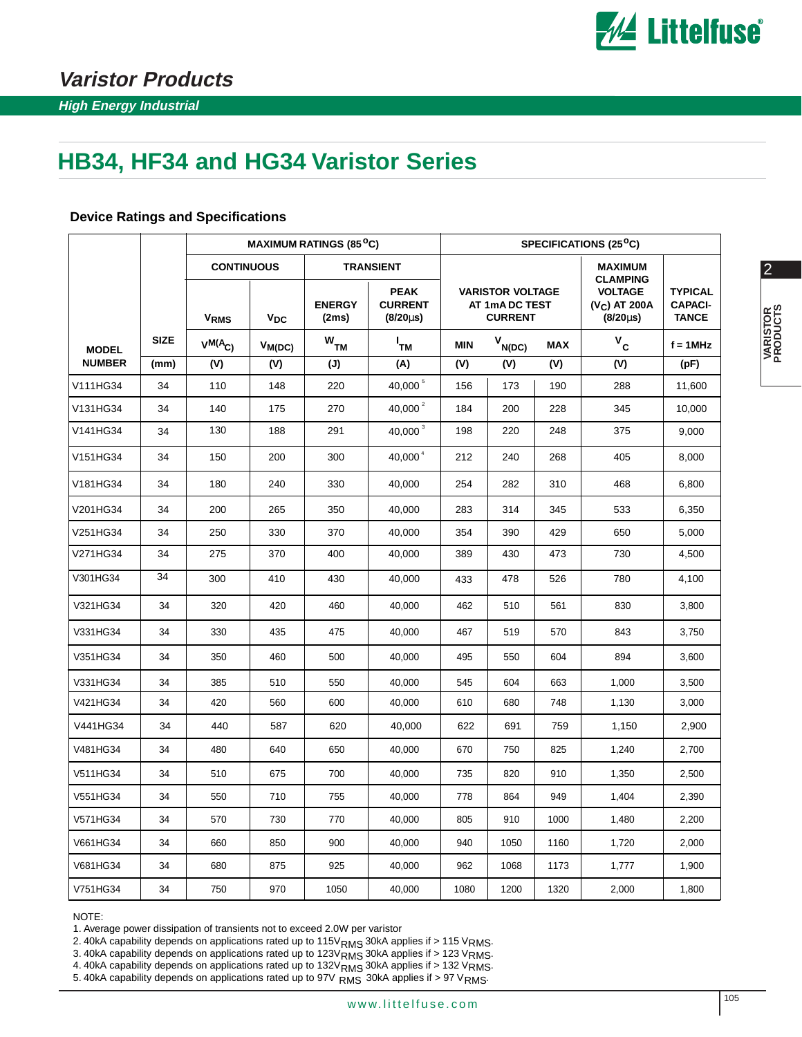

2

**VARISTOR PRODUCTS**

VARISTOR<br>PRODUCTS

# **HB34, HF34 and HG34 Varistor Series**

|               |             |                   | <b>MAXIMUM RATINGS (85<sup>o</sup>C)</b> |                        |                                                 |            |                                                             | SPECIFICATIONS (25 <sup>°</sup> C) |                                                     |                                                  |  |  |  |
|---------------|-------------|-------------------|------------------------------------------|------------------------|-------------------------------------------------|------------|-------------------------------------------------------------|------------------------------------|-----------------------------------------------------|--------------------------------------------------|--|--|--|
|               |             | <b>CONTINUOUS</b> |                                          |                        | <b>TRANSIENT</b>                                |            |                                                             |                                    | <b>MAXIMUM</b><br><b>CLAMPING</b>                   |                                                  |  |  |  |
|               |             | V <sub>RMS</sub>  | $V_{DC}$                                 | <b>ENERGY</b><br>(2ms) | <b>PEAK</b><br><b>CURRENT</b><br>$(8/20 \mu s)$ |            | <b>VARISTOR VOLTAGE</b><br>AT 1mA DC TEST<br><b>CURRENT</b> |                                    | <b>VOLTAGE</b><br>$(V_C)$ AT 200A<br>$(8/20 \mu s)$ | <b>TYPICAL</b><br><b>CAPACI-</b><br><b>TANCE</b> |  |  |  |
| <b>MODEL</b>  | <b>SIZE</b> | $V^{M(A}C)$       | $V_{M(DC)}$                              | $W$ <sub>TM</sub>      | і<br>тм                                         | <b>MIN</b> | $V_{N(DC)}$                                                 | <b>MAX</b>                         | $V_c$                                               | $f = 1$ MHz                                      |  |  |  |
| <b>NUMBER</b> | (mm)        | (V)               | (V)                                      | (J)                    | (A)                                             | (V)        | (V)                                                         | (V)                                | (V)                                                 | (pF)                                             |  |  |  |
| V111HG34      | 34          | 110               | 148                                      | 220                    | 40,000 5                                        | 156        | 173                                                         | 190                                | 288                                                 | 11,600                                           |  |  |  |
| V131HG34      | 34          | 140               | 175                                      | 270                    | 40,000 $^{2}$                                   | 184        | 200                                                         | 228                                | 345                                                 | 10,000                                           |  |  |  |
| V141HG34      | 34          | 130               | 188                                      | 291                    | 40,000 <sup>3</sup>                             | 198        | 220                                                         | 248                                | 375                                                 | 9,000                                            |  |  |  |
| V151HG34      | 34          | 150               | 200                                      | 300                    | 40.000 <sup>4</sup>                             | 212        | 240                                                         | 268                                | 405                                                 | 8,000                                            |  |  |  |
| V181HG34      | 34          | 180               | 240                                      | 330                    | 40,000                                          | 254        | 282                                                         | 310                                | 468                                                 | 6,800                                            |  |  |  |
| V201HG34      | 34          | 200               | 265                                      | 350                    | 40,000                                          | 283        | 314                                                         | 345                                | 533                                                 | 6,350                                            |  |  |  |
| V251HG34      | 34          | 250               | 330                                      | 370                    | 40,000                                          | 354        | 390                                                         | 429                                | 650                                                 | 5,000                                            |  |  |  |
| V271HG34      | 34          | 275               | 370                                      | 400                    | 40,000                                          | 389        | 430                                                         | 473                                | 730                                                 | 4,500                                            |  |  |  |
| V301HG34      | 34          | 300               | 410                                      | 430                    | 40,000                                          | 433        | 478                                                         | 526                                | 780                                                 | 4,100                                            |  |  |  |
| V321HG34      | 34          | 320               | 420                                      | 460                    | 40,000                                          | 462        | 510                                                         | 561                                | 830                                                 | 3,800                                            |  |  |  |
| V331HG34      | 34          | 330               | 435                                      | 475                    | 40,000                                          | 467        | 519                                                         | 570                                | 843                                                 | 3,750                                            |  |  |  |
| V351HG34      | 34          | 350               | 460                                      | 500                    | 40.000                                          | 495        | 550                                                         | 604                                | 894                                                 | 3,600                                            |  |  |  |
| V331HG34      | 34          | 385               | 510                                      | 550                    | 40,000                                          | 545        | 604                                                         | 663                                | 1,000                                               | 3,500                                            |  |  |  |
| V421HG34      | 34          | 420               | 560                                      | 600                    | 40,000                                          | 610        | 680                                                         | 748                                | 1,130                                               | 3,000                                            |  |  |  |
| V441HG34      | 34          | 440               | 587                                      | 620                    | 40,000                                          | 622        | 691                                                         | 759                                | 1,150                                               | 2,900                                            |  |  |  |
| V481HG34      | 34          | 480               | 640                                      | 650                    | 40,000                                          | 670        | 750                                                         | 825                                | 1,240                                               | 2,700                                            |  |  |  |
| V511HG34      | 34          | 510               | 675                                      | 700                    | 40,000                                          | 735        | 820                                                         | 910                                | 1,350                                               | 2,500                                            |  |  |  |
| V551HG34      | 34          | 550               | 710                                      | 755                    | 40,000                                          | 778        | 864                                                         | 949                                | 1,404                                               | 2,390                                            |  |  |  |
| V571HG34      | 34          | 570               | 730                                      | 770                    | 40,000                                          | 805        | 910                                                         | 1000                               | 1,480                                               | 2,200                                            |  |  |  |
| V661HG34      | 34          | 660               | 850                                      | 900                    | 40,000                                          | 940        | 1050                                                        | 1160                               | 1,720                                               | 2,000                                            |  |  |  |
| V681HG34      | 34          | 680               | 875                                      | 925                    | 40,000                                          | 962        | 1068                                                        | 1173                               | 1,777                                               | 1,900                                            |  |  |  |
| V751HG34      | 34          | 750               | 970                                      | 1050                   | 40,000                                          | 1080       | 1200                                                        | 1320                               | 2,000                                               | 1,800                                            |  |  |  |

#### **Device Ratings and Specifications**

NOTE:

1. Average power dissipation of transients not to exceed 2.0W per varistor

2. 40kA capability depends on applications rated up to 115 $\rm{V}_{RMS}$  30kA applies if > 115  $\rm{V}_{RMS}$ .

3. 40kA capability depends on applications rated up to 123 $V<sub>RMS</sub>$  30kA applies if > 123  $V<sub>RMS</sub>$ . RMS RMS

4. 40kA capability depends on applications rated up to  $132V<sub>RMS</sub>$  30kA applies if > 132  $V<sub>RMS</sub>$ . RMS RMS

5. 40kA capability depends on applications rated up to 97V  $_{RMS}$  30kA applies if > 97 V $_{RMS}$ . RMS  $30kA$  applies if  $> 97$  V RMS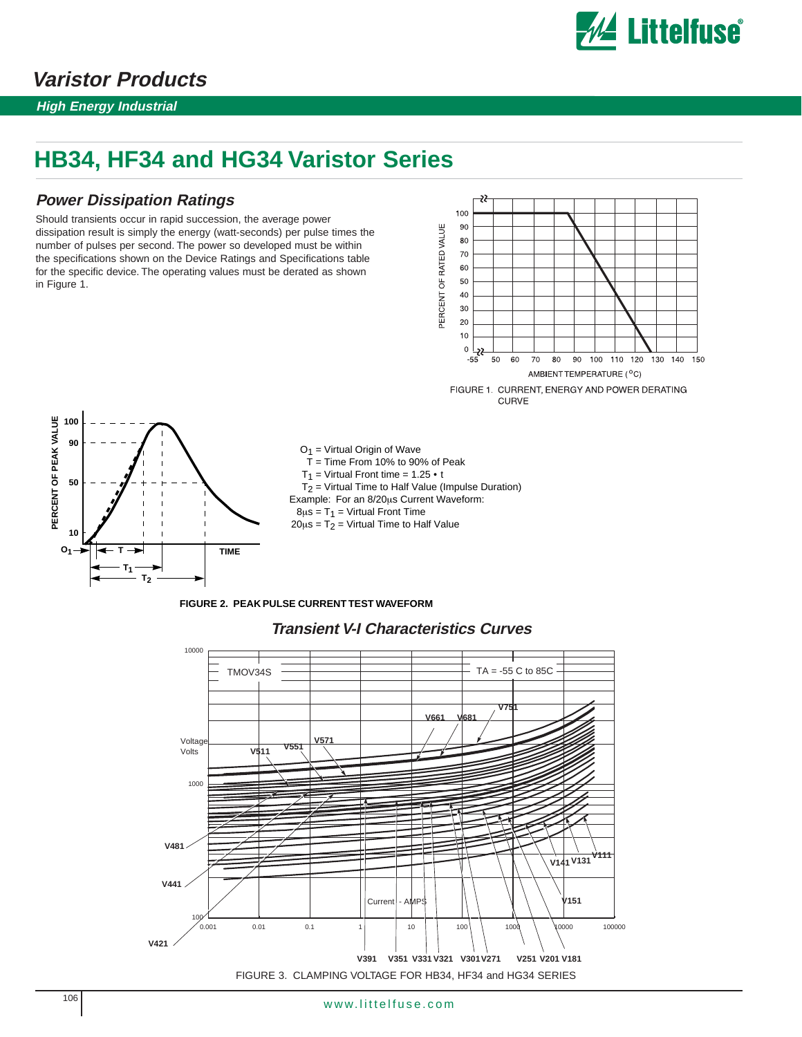

### **Varistor Products**

**High Energy Industrial**

## **HB34, HF34 and HG34 Varistor Series**

### **Power Dissipation Ratings**

Should transients occur in rapid succession, the average power dissipation result is simply the energy (watt-seconds) per pulse times the number of pulses per second. The power so developed must be within the specifications shown on the Device Ratings and Specifications table for the specific device. The operating values must be derated as shown in Figure 1.





 $O_1$  = Virtual Origin of Wave  $T =$  Time From 10% to 90% of Peak  $T_1$  = Virtual Front time = 1.25 • t  $T<sub>2</sub>$  = Virtual Time to Half Value (Impulse Duration) Example: For an 8/20µs Current Waveform:  $8\mu s = T_1 =$  Virtual Front Time  $20\mu s = T_2 =$  Virtual Time to Half Value

**FIGURE 2. PEAK PULSE CURRENT TEST WAVEFORM**



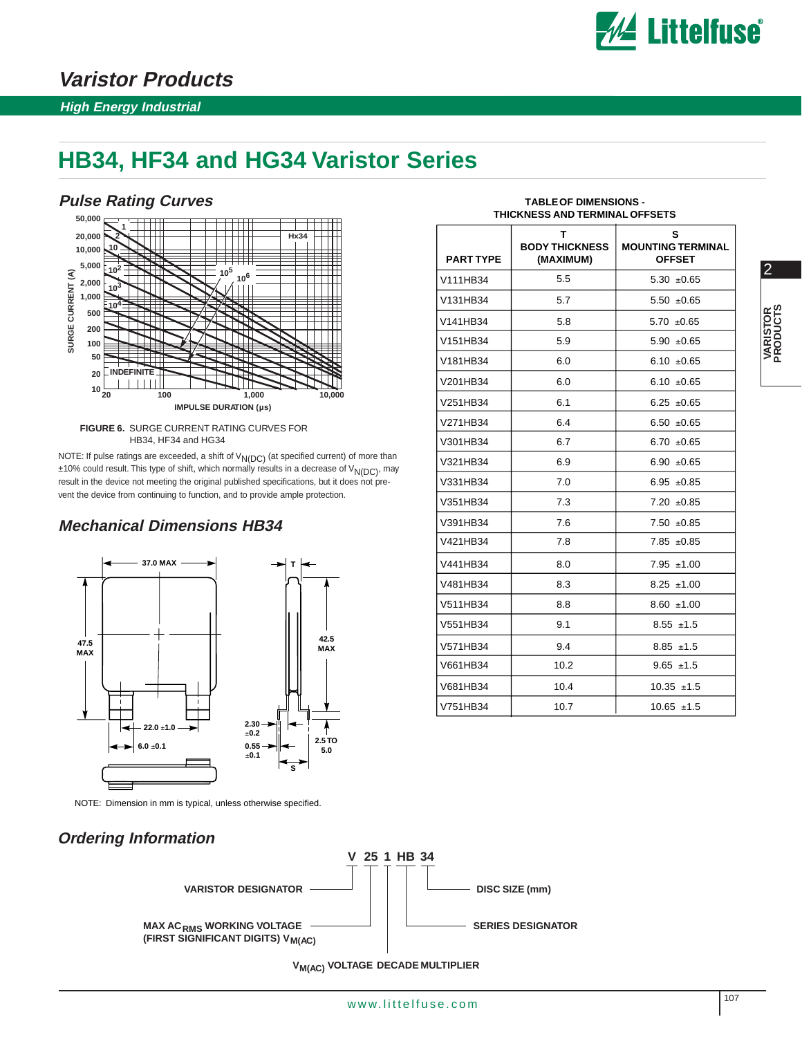

**S**

2

**VARISTOR PRODUCTS**

VARISTOR<br>PRODUCTS

### **Varistor Products**

#### **High Energy Industrial**

### **HB34, HF34 and HG34 Varistor Series**

#### **Pulse Rating Curves**



**FIGURE 6.** SURGE CURRENT RATING CURVES FOR HB34, HF34 and HG34

NOTE: If pulse ratings are exceeded, a shift of  $V_{N(DC)}$  (at specified current) of more than  $±10%$  could result. This type of shift, which normally results in a decrease of  $V_{N(DC)}$ , may result in the device not meeting the original published specifications, but it does not prevent the device from continuing to function, and to provide ample protection.

### **Mechanical Dimensions HB34**



NOTE: Dimension in mm is typical, unless otherwise specified.

**Ordering Information**

| <b>PART TYPE</b> | <b>BODY THICKNESS</b><br>(MAXIMUM) | <b>MOUNTING TERMINAL</b><br><b>OFFSET</b> |
|------------------|------------------------------------|-------------------------------------------|
| V111HB34         | 5.5                                | $5.30 + 0.65$                             |
| V131HB34         | 5.7                                | $5.50 + 0.65$                             |
| V141HB34         | 5.8                                | $5.70 \pm 0.65$                           |
| V151HB34         | 5.9                                | $5.90 + 0.65$                             |
| V181HB34         | 6.0                                | 6.10 $\pm 0.65$                           |
| V201HB34         | 6.0                                | 6.10 $\pm 0.65$                           |
| V251HB34         | 6.1                                | $6.25 \pm 0.65$                           |
| V271HB34         | 6.4                                | $6.50 + 0.65$                             |
| V301HB34         | 6.7                                | 6.70 $\pm 0.65$                           |
| V321HB34         | 6.9                                | 6.90 $\pm 0.65$                           |
| V331HB34         | 7.0                                | 6.95 $\pm 0.85$                           |
| V351HB34         | 7.3                                | $7.20 \pm 0.85$                           |
| V391HB34         | 7.6                                | $7.50 + 0.85$                             |
| V421HB34         | 7.8                                | $7.85 \pm 0.85$                           |
| V441HB34         | 8.0                                | $7.95 \pm 1.00$                           |
| V481HB34         | 8.3                                | $8.25 \pm 1.00$                           |
| V511HB34         | 8.8                                | $8.60 + 1.00$                             |
| V551HB34         | 9.1                                | $8.55 \pm 1.5$                            |
| V571HB34         | 9.4                                | $8.85 \pm 1.5$                            |
| V661HB34         | 10.2                               | $9.65 \pm 1.5$                            |
| V681HB34         | 10.4                               | $10.35 \pm 1.5$                           |

 $V751HB34$   $|$  10.7  $|$  10.65 ±1.5

#### **TABLE OF DIMENSIONS - THICKNESS AND TERMINAL OFFSETS**

**T**



**V<sub>M(AC)</sub> VOLTAGE DECADE MULTIPLIER** 

**V 25 1 HB 34**